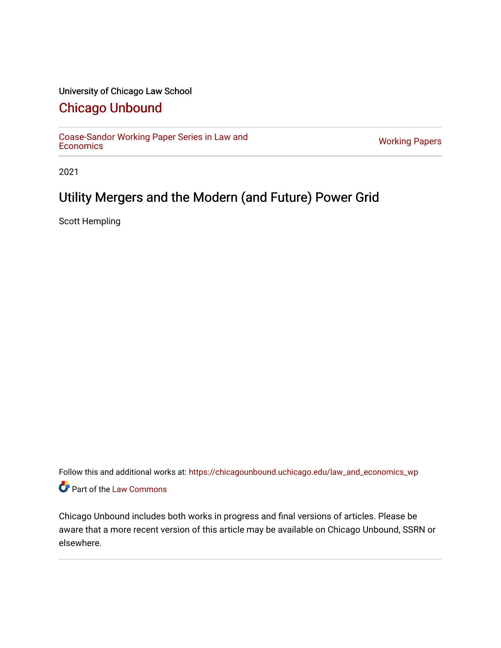### University of Chicago Law School

## [Chicago Unbound](https://chicagounbound.uchicago.edu/)

[Coase-Sandor Working Paper Series in Law and](https://chicagounbound.uchicago.edu/law_and_economics_wp) [Economics](https://chicagounbound.uchicago.edu/law_and_economics_wp) [Working Papers](https://chicagounbound.uchicago.edu/working_papers) 

2021

# Utility Mergers and the Modern (and Future) Power Grid

Scott Hempling

Follow this and additional works at: [https://chicagounbound.uchicago.edu/law\\_and\\_economics\\_wp](https://chicagounbound.uchicago.edu/law_and_economics_wp?utm_source=chicagounbound.uchicago.edu%2Flaw_and_economics_wp%2F17&utm_medium=PDF&utm_campaign=PDFCoverPages)  Part of the [Law Commons](http://network.bepress.com/hgg/discipline/578?utm_source=chicagounbound.uchicago.edu%2Flaw_and_economics_wp%2F17&utm_medium=PDF&utm_campaign=PDFCoverPages)

Chicago Unbound includes both works in progress and final versions of articles. Please be aware that a more recent version of this article may be available on Chicago Unbound, SSRN or elsewhere.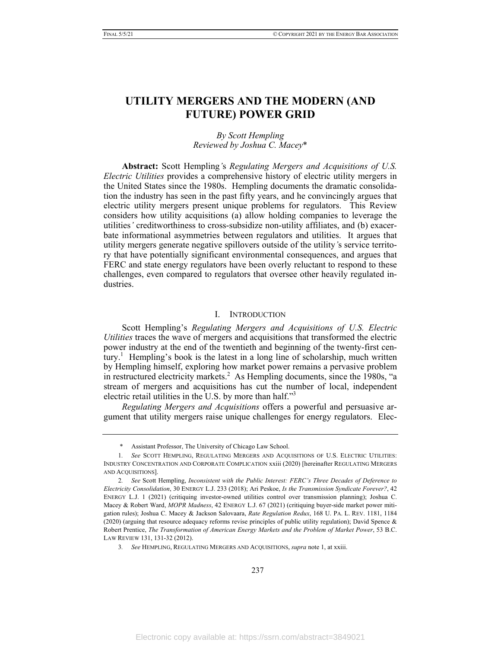## **UTILITY MERGERS AND THE MODERN (AND FUTURE) POWER GRID**

#### *By Scott Hempling Reviewed by Joshua C. Macey*\*

**Abstract:** Scott Hempling*'*s *Regulating Mergers and Acquisitions of U.S. Electric Utilities* provides a comprehensive history of electric utility mergers in the United States since the 1980s. Hempling documents the dramatic consolidation the industry has seen in the past fifty years, and he convincingly argues that electric utility mergers present unique problems for regulators. This Review considers how utility acquisitions (a) allow holding companies to leverage the utilities*'* creditworthiness to cross-subsidize non-utility affiliates, and (b) exacerbate informational asymmetries between regulators and utilities. It argues that utility mergers generate negative spillovers outside of the utility*'*s service territory that have potentially significant environmental consequences, and argues that FERC and state energy regulators have been overly reluctant to respond to these challenges, even compared to regulators that oversee other heavily regulated industries.

#### I. INTRODUCTION

Scott Hempling's *Regulating Mergers and Acquisitions of U.S. Electric Utilities* traces the wave of mergers and acquisitions that transformed the electric power industry at the end of the twentieth and beginning of the twenty-first cen $atury$ <sup>1</sup> Hempling's book is the latest in a long line of scholarship, much written by Hempling himself, exploring how market power remains a pervasive problem in restructured electricity markets.<sup>2</sup> As Hempling documents, since the 1980s, "a stream of mergers and acquisitions has cut the number of local, independent electric retail utilities in the U.S. by more than half."<sup>3</sup>

*Regulating Mergers and Acquisitions* offers a powerful and persuasive argument that utility mergers raise unique challenges for energy regulators. Elec-

<sup>\*</sup> Assistant Professor, The University of Chicago Law School.

<sup>1</sup>*. See* SCOTT HEMPLING, REGULATING MERGERS AND ACQUISITIONS OF U.S. ELECTRIC UTILITIES: INDUSTRY CONCENTRATION AND CORPORATE COMPLICATION xxiii (2020) [hereinafter REGULATING MERGERS AND ACQUISITIONS].

<sup>2</sup>*. See* Scott Hempling, *Inconsistent with the Public Interest: FERC's Three Decades of Deference to Electricity Consolidation*, 30 ENERGY L.J. 233 (2018); Ari Peskoe, *Is the Transmission Syndicate Forever?*, 42 ENERGY L.J. 1 (2021) (critiquing investor-owned utilities control over transmission planning); Joshua C. Macey & Robert Ward, *MOPR Madness*, 42 ENERGY L.J. 67 (2021) (critiquing buyer-side market power mitigation rules); Joshua C. Macey & Jackson Salovaara, *Rate Regulation Redux*, 168 U. PA. L. REV. 1181, 1184 (2020) (arguing that resource adequacy reforms revise principles of public utility regulation); David Spence & Robert Prentice, *The Transformation of American Energy Markets and the Problem of Market Power*, 53 B.C. LAW REVIEW 131, 131-32 (2012).

<sup>3</sup>*. See* HEMPLING, REGULATING MERGERS AND ACQUISITIONS, *supra* note 1, at xxiii.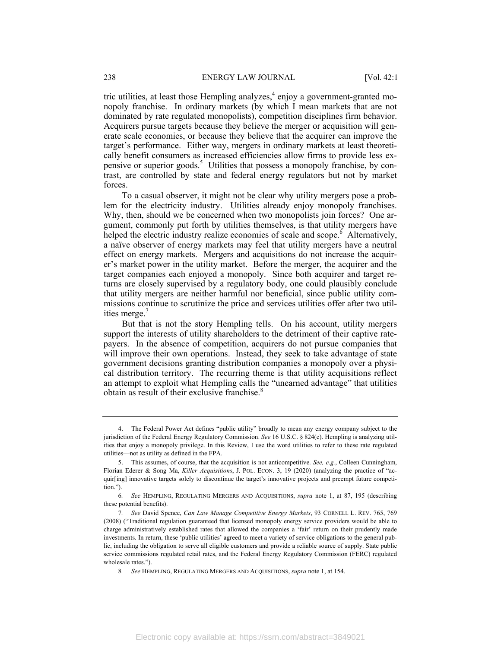tric utilities, at least those Hempling analyzes,<sup>4</sup> enjoy a government-granted monopoly franchise. In ordinary markets (by which I mean markets that are not dominated by rate regulated monopolists), competition disciplines firm behavior. Acquirers pursue targets because they believe the merger or acquisition will generate scale economies, or because they believe that the acquirer can improve the target's performance. Either way, mergers in ordinary markets at least theoretically benefit consumers as increased efficiencies allow firms to provide less expensive or superior goods.<sup>5</sup> Utilities that possess a monopoly franchise, by contrast, are controlled by state and federal energy regulators but not by market forces.

To a casual observer, it might not be clear why utility mergers pose a problem for the electricity industry. Utilities already enjoy monopoly franchises. Why, then, should we be concerned when two monopolists join forces? One argument, commonly put forth by utilities themselves, is that utility mergers have helped the electric industry realize economies of scale and scope.<sup>6</sup> Alternatively, a naïve observer of energy markets may feel that utility mergers have a neutral effect on energy markets. Mergers and acquisitions do not increase the acquirer's market power in the utility market. Before the merger, the acquirer and the target companies each enjoyed a monopoly. Since both acquirer and target returns are closely supervised by a regulatory body, one could plausibly conclude that utility mergers are neither harmful nor beneficial, since public utility commissions continue to scrutinize the price and services utilities offer after two utilities merge.<sup>7</sup>

But that is not the story Hempling tells. On his account, utility mergers support the interests of utility shareholders to the detriment of their captive ratepayers. In the absence of competition, acquirers do not pursue companies that will improve their own operations. Instead, they seek to take advantage of state government decisions granting distribution companies a monopoly over a physical distribution territory. The recurring theme is that utility acquisitions reflect an attempt to exploit what Hempling calls the "unearned advantage" that utilities obtain as result of their exclusive franchise.<sup>8</sup>

 <sup>4.</sup> The Federal Power Act defines "public utility" broadly to mean any energy company subject to the jurisdiction of the Federal Energy Regulatory Commission. *See* 16 U.S.C. § 824(e). Hempling is analyzing utilities that enjoy a monopoly privilege. In this Review, I use the word utilities to refer to these rate regulated utilities—not as utility as defined in the FPA.

 <sup>5.</sup> This assumes, of course, that the acquisition is not anticompetitive. *See, e.g.*, Colleen Cunningham, Florian Ederer & Song Ma, *Killer Acquisitions*, J. POL. ECON. 3, 19 (2020) (analyzing the practice of "acquir[ing] innovative targets solely to discontinue the target's innovative projects and preempt future competition.").

<sup>6</sup>*. See* HEMPLING, REGULATING MERGERS AND ACQUISITIONS, *supra* note 1, at 87, 195 (describing these potential benefits).

<sup>7</sup>*. See* David Spence, *Can Law Manage Competitive Energy Markets*, 93 CORNELL L. REV. 765, 769 (2008) ("Traditional regulation guaranteed that licensed monopoly energy service providers would be able to charge administratively established rates that allowed the companies a 'fair' return on their prudently made investments. In return, these 'public utilities' agreed to meet a variety of service obligations to the general public, including the obligation to serve all eligible customers and provide a reliable source of supply. State public service commissions regulated retail rates, and the Federal Energy Regulatory Commission (FERC) regulated wholesale rates.").

<sup>8</sup>*. See* HEMPLING, REGULATING MERGERS AND ACQUISITIONS, *supra* note 1, at 154.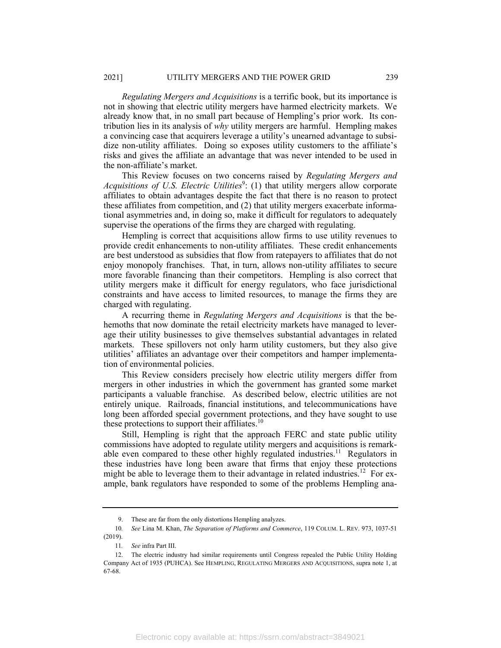*Regulating Mergers and Acquisitions* is a terrific book, but its importance is not in showing that electric utility mergers have harmed electricity markets. We already know that, in no small part because of Hempling's prior work. Its contribution lies in its analysis of *why* utility mergers are harmful. Hempling makes a convincing case that acquirers leverage a utility's unearned advantage to subsidize non-utility affiliates. Doing so exposes utility customers to the affiliate's risks and gives the affiliate an advantage that was never intended to be used in the non-affiliate's market.

This Review focuses on two concerns raised by *Regulating Mergers and*  Acquisitions of U.S. Electric Utilities<sup>9</sup>: (1) that utility mergers allow corporate affiliates to obtain advantages despite the fact that there is no reason to protect these affiliates from competition, and (2) that utility mergers exacerbate informational asymmetries and, in doing so, make it difficult for regulators to adequately supervise the operations of the firms they are charged with regulating.

Hempling is correct that acquisitions allow firms to use utility revenues to provide credit enhancements to non-utility affiliates. These credit enhancements are best understood as subsidies that flow from ratepayers to affiliates that do not enjoy monopoly franchises. That, in turn, allows non-utility affiliates to secure more favorable financing than their competitors. Hempling is also correct that utility mergers make it difficult for energy regulators, who face jurisdictional constraints and have access to limited resources, to manage the firms they are charged with regulating.

A recurring theme in *Regulating Mergers and Acquisitions* is that the behemoths that now dominate the retail electricity markets have managed to leverage their utility businesses to give themselves substantial advantages in related markets. These spillovers not only harm utility customers, but they also give utilities' affiliates an advantage over their competitors and hamper implementation of environmental policies.

This Review considers precisely how electric utility mergers differ from mergers in other industries in which the government has granted some market participants a valuable franchise. As described below, electric utilities are not entirely unique. Railroads, financial institutions, and telecommunications have long been afforded special government protections, and they have sought to use these protections to support their affiliates.<sup>10</sup>

Still, Hempling is right that the approach FERC and state public utility commissions have adopted to regulate utility mergers and acquisitions is remarkable even compared to these other highly regulated industries.<sup>11</sup> Regulators in these industries have long been aware that firms that enjoy these protections might be able to leverage them to their advantage in related industries.<sup>12</sup> For example, bank regulators have responded to some of the problems Hempling ana-

 <sup>9.</sup> These are far from the only distortions Hempling analyzes.

<sup>10</sup>*. See* Lina M. Khan, *The Separation of Platforms and Commerce*, 119 COLUM. L. REV. 973, 1037-51 (2019).

<sup>11</sup>*. See* infra Part III.

 <sup>12.</sup> The electric industry had similar requirements until Congress repealed the Public Utility Holding Company Act of 1935 (PUHCA). See HEMPLING, REGULATING MERGERS AND ACQUISITIONS, supra note 1, at 67-68.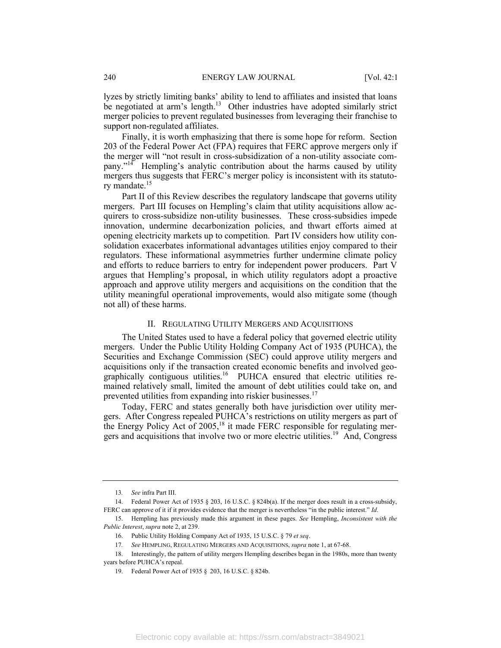lyzes by strictly limiting banks' ability to lend to affiliates and insisted that loans be negotiated at arm's length.<sup>13</sup> Other industries have adopted similarly strict merger policies to prevent regulated businesses from leveraging their franchise to support non-regulated affiliates.

Finally, it is worth emphasizing that there is some hope for reform. Section 203 of the Federal Power Act (FPA) requires that FERC approve mergers only if the merger will "not result in cross-subsidization of a non-utility associate company."14 Hempling's analytic contribution about the harms caused by utility mergers thus suggests that FERC's merger policy is inconsistent with its statutory mandate.<sup>15</sup>

Part II of this Review describes the regulatory landscape that governs utility mergers. Part III focuses on Hempling's claim that utility acquisitions allow acquirers to cross-subsidize non-utility businesses. These cross-subsidies impede innovation, undermine decarbonization policies, and thwart efforts aimed at opening electricity markets up to competition. Part IV considers how utility consolidation exacerbates informational advantages utilities enjoy compared to their regulators. These informational asymmetries further undermine climate policy and efforts to reduce barriers to entry for independent power producers. Part V argues that Hempling's proposal, in which utility regulators adopt a proactive approach and approve utility mergers and acquisitions on the condition that the utility meaningful operational improvements, would also mitigate some (though not all) of these harms.

#### II. REGULATING UTILITY MERGERS AND ACQUISITIONS

The United States used to have a federal policy that governed electric utility mergers. Under the Public Utility Holding Company Act of 1935 (PUHCA), the Securities and Exchange Commission (SEC) could approve utility mergers and acquisitions only if the transaction created economic benefits and involved geographically contiguous utilities.<sup>16</sup> PUHCA ensured that electric utilities remained relatively small, limited the amount of debt utilities could take on, and prevented utilities from expanding into riskier businesses.<sup>17</sup>

Today, FERC and states generally both have jurisdiction over utility mergers. After Congress repealed PUHCA's restrictions on utility mergers as part of the Energy Policy Act of  $2005$ ,<sup>18</sup> it made FERC responsible for regulating mergers and acquisitions that involve two or more electric utilities.<sup>19</sup> And, Congress

<sup>13</sup>*. See* infra Part III.

 <sup>14.</sup> Federal Power Act of 1935 § 203, 16 U.S.C. § 824b(a). If the merger does result in a cross-subsidy, FERC can approve of it if it provides evidence that the merger is nevertheless "in the public interest." *Id*.

 <sup>15.</sup> Hempling has previously made this argument in these pages. *See* Hempling, *Inconsistent with the Public Interest*, *supra* note 2, at 239.

 <sup>16.</sup> Public Utility Holding Company Act of 1935, 15 U.S.C. § 79 *et seq*.

<sup>17</sup>*. See* HEMPLING, REGULATING MERGERS AND ACQUISITIONS, *supra* note 1, at 67-68.

 <sup>18.</sup> Interestingly, the pattern of utility mergers Hempling describes began in the 1980s, more than twenty years before PUHCA's repeal.

 <sup>19.</sup> Federal Power Act of 1935 §  203, 16 U.S.C. § 824b.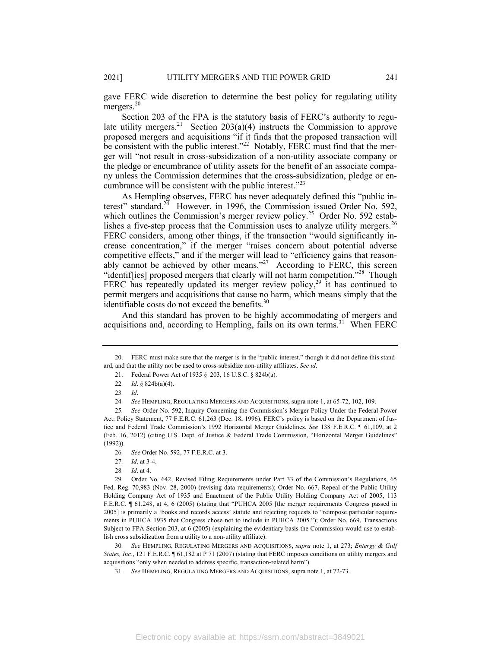gave FERC wide discretion to determine the best policy for regulating utility mergers.<sup>20</sup>

Section 203 of the FPA is the statutory basis of FERC's authority to regulate utility mergers.<sup>21</sup> Section 203(a)(4) instructs the Commission to approve proposed mergers and acquisitions "if it finds that the proposed transaction will be consistent with the public interest."<sup>22</sup> Notably, FERC must find that the merger will "not result in cross-subsidization of a non-utility associate company or the pledge or encumbrance of utility assets for the benefit of an associate company unless the Commission determines that the cross-subsidization, pledge or encumbrance will be consistent with the public interest."23

As Hempling observes, FERC has never adequately defined this "public interest" standard. $2^{\overline{4}}$  However, in 1996, the Commission issued Order No. 592, which outlines the Commission's merger review policy.<sup>25</sup> Order No. 592 establishes a five-step process that the Commission uses to analyze utility mergers.<sup>26</sup> FERC considers, among other things, if the transaction "would significantly increase concentration," if the merger "raises concern about potential adverse competitive effects," and if the merger will lead to "efficiency gains that reasonably cannot be achieved by other means."<sup>27</sup> According to FERC, this screen "identiffies] proposed mergers that clearly will not harm competition."<sup>28</sup> Though FERC has repeatedly updated its merger review policy,<sup>29</sup> it has continued to permit mergers and acquisitions that cause no harm, which means simply that the identifiable costs do not exceed the benefits. $30$ 

And this standard has proven to be highly accommodating of mergers and acquisitions and, according to Hempling, fails on its own terms. 31 When FERC

 29. Order No. 642, Revised Filing Requirements under Part 33 of the Commission's Regulations, 65 Fed. Reg. 70,983 (Nov. 28, 2000) (revising data requirements); Order No. 667, Repeal of the Public Utility Holding Company Act of 1935 and Enactment of the Public Utility Holding Company Act of 2005, 113 F.E.R.C. ¶ 61,248, at 4, 6 (2005) (stating that "PUHCA 2005 [the merger requirements Congress passed in 2005] is primarily a 'books and records access' statute and rejecting requests to "reimpose particular requirements in PUHCA 1935 that Congress chose not to include in PUHCA 2005."); Order No. 669, Transactions Subject to FPA Section 203, at 6 (2005) (explaining the evidentiary basis the Commission would use to establish cross subsidization from a utility to a non-utility affiliate).

30*. See* HEMPLING, REGULATING MERGERS AND ACQUISITIONS, *supra* note 1, at 273; *Entergy & Gulf States, Inc.*, 121 F.E.R.C.  $\sim$  61,182 at P 71 (2007) (stating that FERC imposes conditions on utility mergers and acquisitions "only when needed to address specific, transaction-related harm").

 <sup>20.</sup> FERC must make sure that the merger is in the "public interest," though it did not define this standard, and that the utility not be used to cross-subsidize non-utility affiliates. *See id*.

 <sup>21.</sup> Federal Power Act of 1935 §  203, 16 U.S.C. § 824b(a).

<sup>22</sup>*. Id*. § 824b(a)(4).

<sup>23</sup>*. Id*.

<sup>24</sup>*. See* HEMPLING, REGULATING MERGERS AND ACQUISITIONS, supra note 1, at 65-72, 102, 109.

<sup>25</sup>*. See* Order No. 592, Inquiry Concerning the Commission's Merger Policy Under the Federal Power Act: Policy Statement, 77 F.E.R.C. 61,263 (Dec. 18, 1996). FERC's policy is based on the Department of Justice and Federal Trade Commission's 1992 Horizontal Merger Guidelines. *See* 138 F.E.R.C. ¶ 61,109, at 2 (Feb. 16, 2012) (citing U.S. Dept. of Justice & Federal Trade Commission, "Horizontal Merger Guidelines" (1992)).

<sup>26</sup>*. See* Order No. 592, 77 F.E.R.C. at 3.

<sup>27</sup>*. Id*. at 3-4.

<sup>28</sup>*. Id*. at 4.

<sup>31</sup>*. See* HEMPLING, REGULATING MERGERS AND ACQUISITIONS, supra note 1, at 72-73.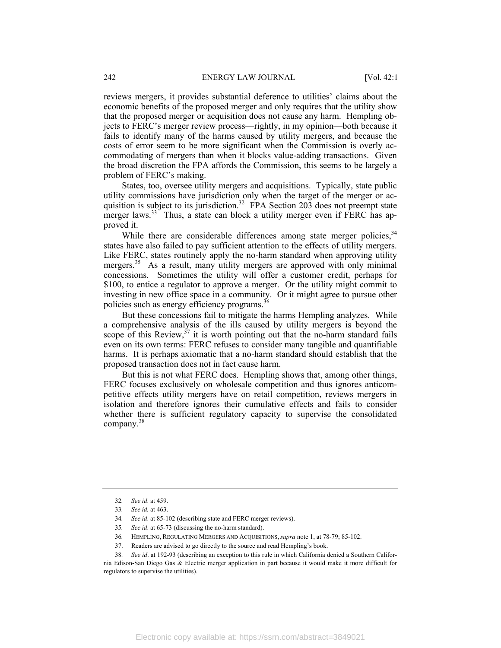reviews mergers, it provides substantial deference to utilities' claims about the economic benefits of the proposed merger and only requires that the utility show that the proposed merger or acquisition does not cause any harm. Hempling objects to FERC's merger review process—rightly, in my opinion—both because it fails to identify many of the harms caused by utility mergers, and because the costs of error seem to be more significant when the Commission is overly accommodating of mergers than when it blocks value-adding transactions. Given the broad discretion the FPA affords the Commission, this seems to be largely a problem of FERC's making.

States, too, oversee utility mergers and acquisitions. Typically, state public utility commissions have jurisdiction only when the target of the merger or acquisition is subject to its jurisdiction.<sup>32</sup> FPA Section  $20\overline{3}$  does not preempt state merger laws.<sup>33</sup> Thus, a state can block a utility merger even if FERC has approved it.

While there are considerable differences among state merger policies,<sup>34</sup> states have also failed to pay sufficient attention to the effects of utility mergers. Like FERC, states routinely apply the no-harm standard when approving utility mergers.<sup>35</sup> As a result, many utility mergers are approved with only minimal concessions. Sometimes the utility will offer a customer credit, perhaps for \$100, to entice a regulator to approve a merger. Or the utility might commit to investing in new office space in a community. Or it might agree to pursue other policies such as energy efficiency programs.<sup>36</sup>

But these concessions fail to mitigate the harms Hempling analyzes. While a comprehensive analysis of the ills caused by utility mergers is beyond the scope of this Review,  $37$  it is worth pointing out that the no-harm standard fails even on its own terms: FERC refuses to consider many tangible and quantifiable harms. It is perhaps axiomatic that a no-harm standard should establish that the proposed transaction does not in fact cause harm.

But this is not what FERC does. Hempling shows that, among other things, FERC focuses exclusively on wholesale competition and thus ignores anticompetitive effects utility mergers have on retail competition, reviews mergers in isolation and therefore ignores their cumulative effects and fails to consider whether there is sufficient regulatory capacity to supervise the consolidated company.38

<sup>32</sup>*. See id*. at 459.

<sup>33</sup>*. See id.* at 463.

<sup>34</sup>*. See id*. at 85-102 (describing state and FERC merger reviews).

<sup>35</sup>*. See id*. at 65-73 (discussing the no-harm standard).

<sup>36</sup>*.* HEMPLING, REGULATING MERGERS AND ACQUISITIONS, *supra* note 1, at 78-79; 85-102.

 <sup>37.</sup> Readers are advised to go directly to the source and read Hempling's book.

<sup>38</sup>*. See id*. at 192-93 (describing an exception to this rule in which California denied a Southern California Edison-San Diego Gas & Electric merger application in part because it would make it more difficult for regulators to supervise the utilities).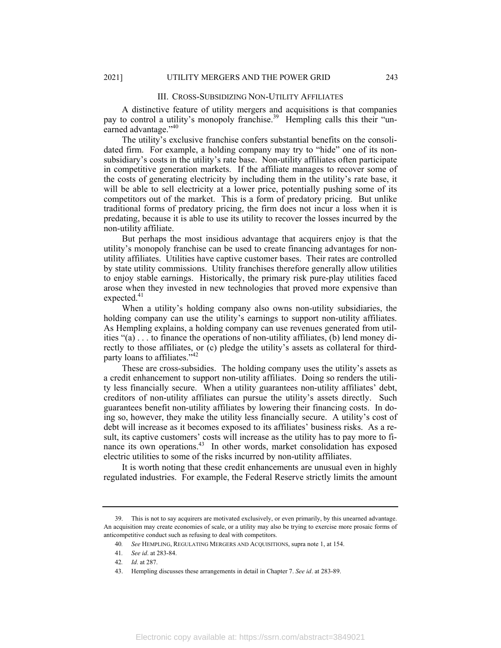#### III. CROSS-SUBSIDIZING NON-UTILITY AFFILIATES

A distinctive feature of utility mergers and acquisitions is that companies pay to control a utility's monopoly franchise.<sup>39</sup> Hempling calls this their "unearned advantage."<sup>40</sup>

The utility's exclusive franchise confers substantial benefits on the consolidated firm. For example, a holding company may try to "hide" one of its nonsubsidiary's costs in the utility's rate base. Non-utility affiliates often participate in competitive generation markets. If the affiliate manages to recover some of the costs of generating electricity by including them in the utility's rate base, it will be able to sell electricity at a lower price, potentially pushing some of its competitors out of the market. This is a form of predatory pricing. But unlike traditional forms of predatory pricing, the firm does not incur a loss when it is predating, because it is able to use its utility to recover the losses incurred by the non-utility affiliate.

But perhaps the most insidious advantage that acquirers enjoy is that the utility's monopoly franchise can be used to create financing advantages for nonutility affiliates. Utilities have captive customer bases. Their rates are controlled by state utility commissions. Utility franchises therefore generally allow utilities to enjoy stable earnings. Historically, the primary risk pure-play utilities faced arose when they invested in new technologies that proved more expensive than expected.<sup>41</sup>

When a utility's holding company also owns non-utility subsidiaries, the holding company can use the utility's earnings to support non-utility affiliates. As Hempling explains, a holding company can use revenues generated from utilities " $(a) \ldots$  to finance the operations of non-utility affiliates,  $(b)$  lend money directly to those affiliates, or (c) pledge the utility's assets as collateral for thirdparty loans to affiliates."<sup>42</sup>

These are cross-subsidies. The holding company uses the utility's assets as a credit enhancement to support non-utility affiliates. Doing so renders the utility less financially secure. When a utility guarantees non-utility affiliates' debt, creditors of non-utility affiliates can pursue the utility's assets directly. Such guarantees benefit non-utility affiliates by lowering their financing costs. In doing so, however, they make the utility less financially secure. A utility's cost of debt will increase as it becomes exposed to its affiliates' business risks. As a result, its captive customers' costs will increase as the utility has to pay more to finance its own operations.<sup>43</sup> In other words, market consolidation has exposed electric utilities to some of the risks incurred by non-utility affiliates.

It is worth noting that these credit enhancements are unusual even in highly regulated industries. For example, the Federal Reserve strictly limits the amount

 <sup>39.</sup> This is not to say acquirers are motivated exclusively, or even primarily, by this unearned advantage. An acquisition may create economies of scale, or a utility may also be trying to exercise more prosaic forms of anticompetitive conduct such as refusing to deal with competitors.

<sup>40</sup>*. See* HEMPLING, REGULATING MERGERS AND ACQUISITIONS, supra note 1, at 154.

<sup>41</sup>*. See id*. at 283-84.

<sup>42</sup>*. Id*. at 287.

 <sup>43.</sup> Hempling discusses these arrangements in detail in Chapter 7. *See id*. at 283-89.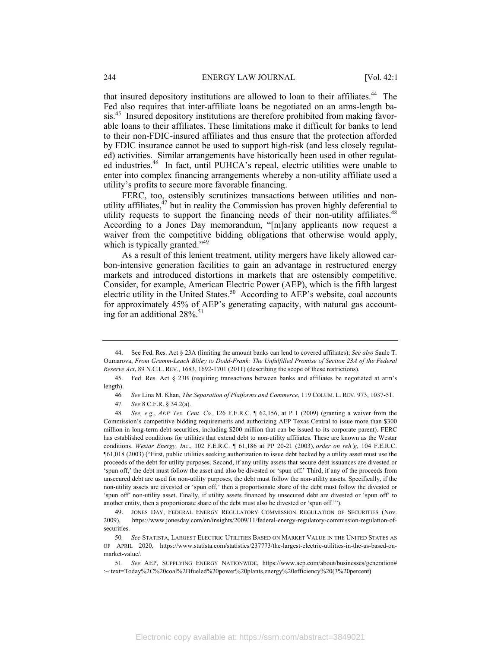that insured depository institutions are allowed to loan to their affiliates.<sup>44</sup> The Fed also requires that inter-affiliate loans be negotiated on an arms-length basis.45 Insured depository institutions are therefore prohibited from making favorable loans to their affiliates. These limitations make it difficult for banks to lend to their non-FDIC-insured affiliates and thus ensure that the protection afforded by FDIC insurance cannot be used to support high-risk (and less closely regulated) activities. Similar arrangements have historically been used in other regulated industries.<sup>46</sup> In fact, until PUHCA's repeal, electric utilities were unable to enter into complex financing arrangements whereby a non-utility affiliate used a utility's profits to secure more favorable financing.

FERC, too, ostensibly scrutinizes transactions between utilities and nonutility affiliates, $47$  but in reality the Commission has proven highly deferential to utility requests to support the financing needs of their non-utility affiliates.<sup>48</sup> According to a Jones Day memorandum, "[m]any applicants now request a waiver from the competitive bidding obligations that otherwise would apply, which is typically granted."<sup>49</sup>

As a result of this lenient treatment, utility mergers have likely allowed carbon-intensive generation facilities to gain an advantage in restructured energy markets and introduced distortions in markets that are ostensibly competitive. Consider, for example, American Electric Power (AEP), which is the fifth largest electric utility in the United States.<sup>50</sup> According to AEP's website, coal accounts for approximately 45% of AEP's generating capacity, with natural gas accounting for an additional  $28\%$ .<sup>51</sup>

 <sup>44.</sup> See Fed. Res. Act § 23A (limiting the amount banks can lend to covered affiliates); *See also* Saule T. Oumarova, *From Gramm-Leach Bliley to Dodd-Frank: The Unfulfilled Promise of Section 23A of the Federal Reserve Act*, 89 N.C.L. REV., 1683, 1692-1701 (2011) (describing the scope of these restrictions).

 <sup>45.</sup> Fed. Res. Act § 23B (requiring transactions between banks and affiliates be negotiated at arm's length).

<sup>46</sup>*. See* Lina M. Khan, *The Separation of Platforms and Commerce*, 119 COLUM. L. REV. 973, 1037-51.

<sup>47</sup>*. See* 8 C.F.R. § 34.2(a).

<sup>48</sup>*. See, e.g.*, *AEP Tex. Cent. Co.,* 126 F.E.R.C. ¶ 62,156, at P 1 (2009) (granting a waiver from the Commission's competitive bidding requirements and authorizing AEP Texas Central to issue more than \$300 million in long-term debt securities, including \$200 million that can be issued to its corporate parent). FERC has established conditions for utilities that extend debt to non-utility affiliates. These are known as the Westar conditions. *Westar Energy, Inc*., 102 F.E.R.C. ¶ 61,186 at PP 20-21 (2003), *order on reh'g*, 104 F.E.R.C. ¶61,018 (2003) ("First, public utilities seeking authorization to issue debt backed by a utility asset must use the proceeds of the debt for utility purposes. Second, if any utility assets that secure debt issuances are divested or 'spun off,' the debt must follow the asset and also be divested or 'spun off.' Third, if any of the proceeds from unsecured debt are used for non-utility purposes, the debt must follow the non-utility assets. Specifically, if the non-utility assets are divested or 'spun off,' then a proportionate share of the debt must follow the divested or 'spun off' non-utility asset. Finally, if utility assets financed by unsecured debt are divested or 'spun off' to another entity, then a proportionate share of the debt must also be divested or 'spun off.'").

 <sup>49.</sup> JONES DAY, FEDERAL ENERGY REGULATORY COMMISSION REGULATION OF SECURITIES (Nov. 2009), https://www.jonesday.com/en/insights/2009/11/federal-energy-regulatory-commission-regulation-ofsecurities.

<sup>50</sup>*. See* STATISTA, LARGEST ELECTRIC UTILITIES BASED ON MARKET VALUE IN THE UNITED STATES AS OF APRIL 2020, https://www.statista.com/statistics/237773/the-largest-electric-utilities-in-the-us-based-onmarket-value/.

<sup>51</sup>*. See* AEP, SUPPLYING ENERGY NATIONWIDE, https://www.aep.com/about/businesses/generation# :~:text=Today%2C%20coal%2Dfueled%20power%20plants,energy%20efficiency%20(3%20percent).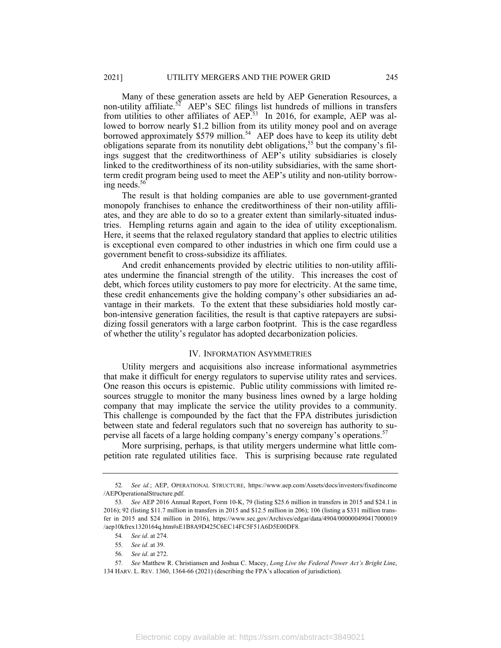Many of these generation assets are held by AEP Generation Resources, a non-utility affiliate.<sup>52</sup> AEP's SEC filings list hundreds of millions in transfers from utilities to other affiliates of  $AEP$ .<sup>53</sup> In 2016, for example,  $AEP$  was allowed to borrow nearly \$1.2 billion from its utility money pool and on average borrowed approximately \$579 million.<sup>54</sup> AEP does have to keep its utility debt obligations separate from its nonutility debt obligations,<sup>55</sup> but the company's filings suggest that the creditworthiness of AEP's utility subsidiaries is closely linked to the creditworthiness of its non-utility subsidiaries, with the same shortterm credit program being used to meet the AEP's utility and non-utility borrowing needs.<sup>56</sup>

The result is that holding companies are able to use government-granted monopoly franchises to enhance the creditworthiness of their non-utility affiliates, and they are able to do so to a greater extent than similarly-situated industries. Hempling returns again and again to the idea of utility exceptionalism. Here, it seems that the relaxed regulatory standard that applies to electric utilities is exceptional even compared to other industries in which one firm could use a government benefit to cross-subsidize its affiliates.

And credit enhancements provided by electric utilities to non-utility affiliates undermine the financial strength of the utility. This increases the cost of debt, which forces utility customers to pay more for electricity. At the same time, these credit enhancements give the holding company's other subsidiaries an advantage in their markets. To the extent that these subsidiaries hold mostly carbon-intensive generation facilities, the result is that captive ratepayers are subsidizing fossil generators with a large carbon footprint. This is the case regardless of whether the utility's regulator has adopted decarbonization policies.

#### IV. INFORMATION ASYMMETRIES

Utility mergers and acquisitions also increase informational asymmetries that make it difficult for energy regulators to supervise utility rates and services. One reason this occurs is epistemic. Public utility commissions with limited resources struggle to monitor the many business lines owned by a large holding company that may implicate the service the utility provides to a community. This challenge is compounded by the fact that the FPA distributes jurisdiction between state and federal regulators such that no sovereign has authority to supervise all facets of a large holding company's energy company's operations.<sup>57</sup>

More surprising, perhaps, is that utility mergers undermine what little competition rate regulated utilities face. This is surprising because rate regulated

56*. See id*. at 272.

<sup>52</sup>*. See id.*; AEP, OPERATIONAL STRUCTURE, https://www.aep.com/Assets/docs/investors/fixedincome /AEPOperationalStructure.pdf.

<sup>53</sup>*. See* AEP 2016 Annual Report, Form 10-K, 79 (listing \$25.6 million in transfers in 2015 and \$24.1 in 2016); 92 (listing \$11.7 million in transfers in 2015 and \$12.5 million in 206); 106 (listing a \$331 million transfer in 2015 and \$24 million in 2016), https://www.sec.gov/Archives/edgar/data/4904/000000490417000019 /aep10kfrex1320164q.htm#sE1B8A9D425C6EC14FC5F51A6D5E00DF8.

<sup>54</sup>*. See id*. at 274.

<sup>55</sup>*. See id*. at 39.

<sup>57</sup>*. See* Matthew R. Christiansen and Joshua C. Macey, *Long Live the Federal Power Act's Bright Lin*e, 134 HARV. L. REV. 1360, 1364-66 (2021) (describing the FPA's allocation of jurisdiction).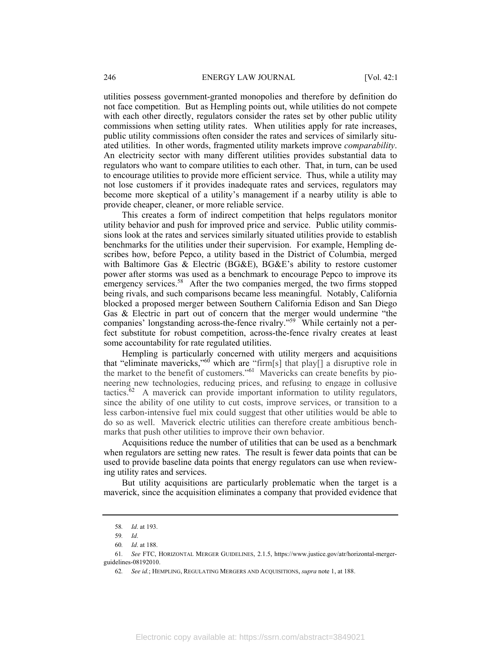utilities possess government-granted monopolies and therefore by definition do not face competition. But as Hempling points out, while utilities do not compete with each other directly, regulators consider the rates set by other public utility commissions when setting utility rates. When utilities apply for rate increases, public utility commissions often consider the rates and services of similarly situated utilities. In other words, fragmented utility markets improve *comparability*. An electricity sector with many different utilities provides substantial data to regulators who want to compare utilities to each other. That, in turn, can be used to encourage utilities to provide more efficient service. Thus, while a utility may not lose customers if it provides inadequate rates and services, regulators may become more skeptical of a utility's management if a nearby utility is able to provide cheaper, cleaner, or more reliable service.

This creates a form of indirect competition that helps regulators monitor utility behavior and push for improved price and service. Public utility commissions look at the rates and services similarly situated utilities provide to establish benchmarks for the utilities under their supervision. For example, Hempling describes how, before Pepco, a utility based in the District of Columbia, merged with Baltimore Gas & Electric (BG&E), BG&E's ability to restore customer power after storms was used as a benchmark to encourage Pepco to improve its emergency services.<sup>58</sup> After the two companies merged, the two firms stopped being rivals, and such comparisons became less meaningful. Notably, California blocked a proposed merger between Southern California Edison and San Diego Gas & Electric in part out of concern that the merger would undermine "the companies' longstanding across-the-fence rivalry."59 While certainly not a perfect substitute for robust competition, across-the-fence rivalry creates at least some accountability for rate regulated utilities.

Hempling is particularly concerned with utility mergers and acquisitions that "eliminate mavericks,"<sup>60'</sup> which are "firm[s] that play<sup>[]</sup> a disruptive role in the market to the benefit of customers."61 Mavericks can create benefits by pioneering new technologies, reducing prices, and refusing to engage in collusive tactics. $62$  A maverick can provide important information to utility regulators, since the ability of one utility to cut costs, improve services, or transition to a less carbon-intensive fuel mix could suggest that other utilities would be able to do so as well. Maverick electric utilities can therefore create ambitious benchmarks that push other utilities to improve their own behavior.

Acquisitions reduce the number of utilities that can be used as a benchmark when regulators are setting new rates. The result is fewer data points that can be used to provide baseline data points that energy regulators can use when reviewing utility rates and services.

But utility acquisitions are particularly problematic when the target is a maverick, since the acquisition eliminates a company that provided evidence that

<sup>58</sup>*. Id*. at 193.

<sup>59</sup>*. Id*.

<sup>60</sup>*. Id*. at 188.

<sup>61</sup>*. See* FTC, HORIZONTAL MERGER GUIDELINES, 2.1.5, https://www.justice.gov/atr/horizontal-mergerguidelines-08192010.

<sup>62</sup>*. See id.*; HEMPLING, REGULATING MERGERS AND ACQUISITIONS, *supra* note 1, at 188.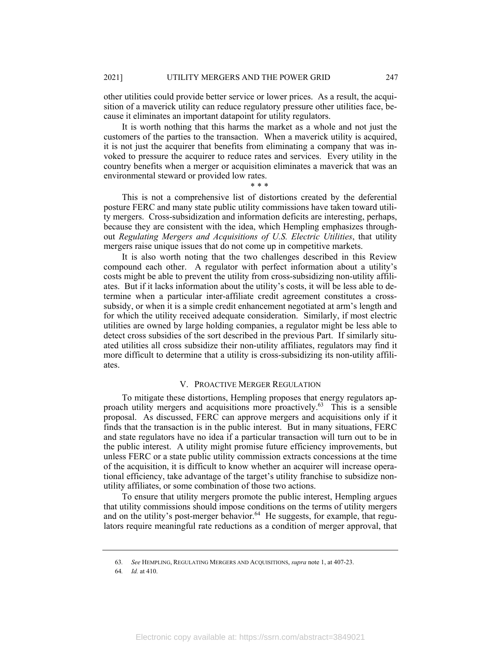other utilities could provide better service or lower prices. As a result, the acquisition of a maverick utility can reduce regulatory pressure other utilities face, because it eliminates an important datapoint for utility regulators.

It is worth nothing that this harms the market as a whole and not just the customers of the parties to the transaction. When a maverick utility is acquired, it is not just the acquirer that benefits from eliminating a company that was invoked to pressure the acquirer to reduce rates and services. Every utility in the country benefits when a merger or acquisition eliminates a maverick that was an environmental steward or provided low rates.

\* \* \*

This is not a comprehensive list of distortions created by the deferential posture FERC and many state public utility commissions have taken toward utility mergers. Cross-subsidization and information deficits are interesting, perhaps, because they are consistent with the idea, which Hempling emphasizes throughout *Regulating Mergers and Acquisitions of U.S. Electric Utilities*, that utility mergers raise unique issues that do not come up in competitive markets.

It is also worth noting that the two challenges described in this Review compound each other. A regulator with perfect information about a utility's costs might be able to prevent the utility from cross-subsidizing non-utility affiliates. But if it lacks information about the utility's costs, it will be less able to determine when a particular inter-affiliate credit agreement constitutes a crosssubsidy, or when it is a simple credit enhancement negotiated at arm's length and for which the utility received adequate consideration. Similarly, if most electric utilities are owned by large holding companies, a regulator might be less able to detect cross subsidies of the sort described in the previous Part. If similarly situated utilities all cross subsidize their non-utility affiliates, regulators may find it more difficult to determine that a utility is cross-subsidizing its non-utility affiliates.

#### V. PROACTIVE MERGER REGULATION

To mitigate these distortions, Hempling proposes that energy regulators approach utility mergers and acquisitions more proactively.63 This is a sensible proposal. As discussed, FERC can approve mergers and acquisitions only if it finds that the transaction is in the public interest. But in many situations, FERC and state regulators have no idea if a particular transaction will turn out to be in the public interest. A utility might promise future efficiency improvements, but unless FERC or a state public utility commission extracts concessions at the time of the acquisition, it is difficult to know whether an acquirer will increase operational efficiency, take advantage of the target's utility franchise to subsidize nonutility affiliates, or some combination of those two actions.

To ensure that utility mergers promote the public interest, Hempling argues that utility commissions should impose conditions on the terms of utility mergers and on the utility's post-merger behavior.<sup>64</sup> He suggests, for example, that regulators require meaningful rate reductions as a condition of merger approval, that

<sup>63</sup>*. See* HEMPLING, REGULATING MERGERS AND ACQUISITIONS, *supra* note 1, at 407-23.

<sup>64</sup>*. Id.* at 410.